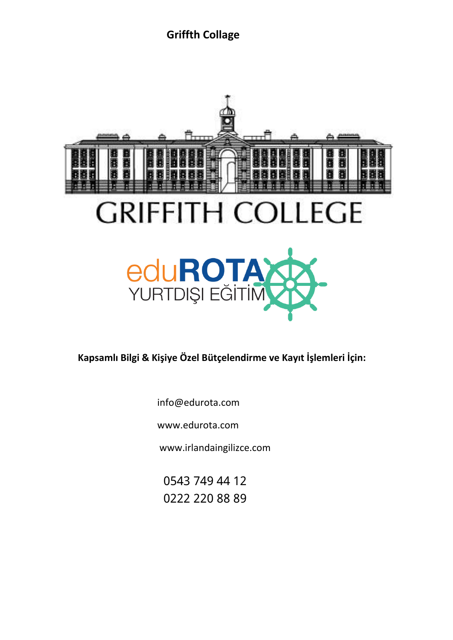

**Kapsamlı Bilgi & Kişiye Özel Bütçelendirme ve Kayıt İşlemleri İçin:** 

info@edurota.com

[www.edurota.com](http://www.edurota.com/)

www.irlandaingilizce.com

0543 749 44 12 0222 220 88 89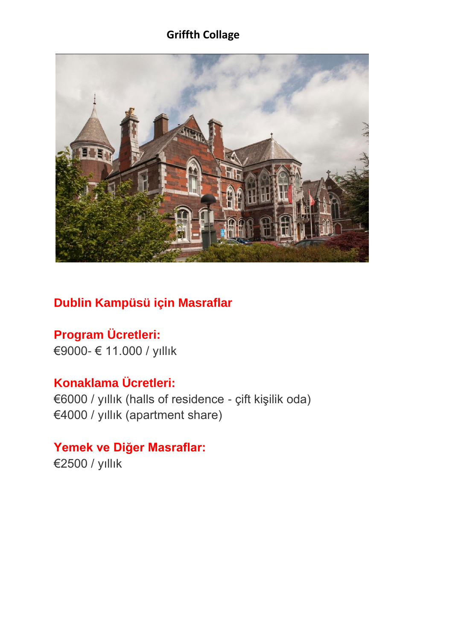

# **Dublin Kampüsü için Masraflar**

**Program Ücretleri:** €9000- € 11.000 / yıllık

# **Konaklama Ücretleri:**

€6000 / yıllık (halls of residence - çift kişilik oda) €4000 / yıllık (apartment share)

**Yemek ve Diğer Masraflar:** €2500 / yıllık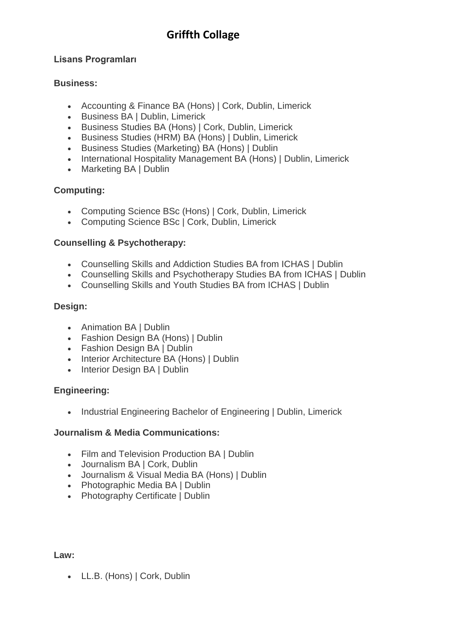#### **Lisans Programları**

#### **Business:**

- Accounting & Finance BA (Hons) | Cork, Dublin, Limerick
- Business BA | Dublin, Limerick
- Business Studies BA (Hons) | Cork, Dublin, Limerick
- Business Studies (HRM) BA (Hons) | Dublin, Limerick
- Business Studies (Marketing) BA (Hons) | Dublin
- International Hospitality Management BA (Hons) | Dublin, Limerick
- Marketing BA | Dublin

#### **Computing:**

- Computing Science BSc (Hons) | Cork, Dublin, Limerick
- Computing Science BSc | Cork, Dublin, Limerick

#### **Counselling & Psychotherapy:**

- Counselling Skills and Addiction Studies BA from ICHAS | Dublin
- Counselling Skills and Psychotherapy Studies BA from ICHAS | Dublin
- Counselling Skills and Youth Studies BA from ICHAS | Dublin

#### **Design:**

- Animation BA | Dublin
- Fashion Design BA (Hons) | Dublin
- Fashion Design BA | Dublin
- Interior Architecture BA (Hons) | Dublin
- Interior Design BA | Dublin

#### **Engineering:**

• Industrial Engineering Bachelor of Engineering | Dublin, Limerick

#### **Journalism & Media Communications:**

- Film and Television Production BA | Dublin
- Journalism BA | Cork, Dublin
- Journalism & Visual Media BA (Hons) | Dublin
- Photographic Media BA | Dublin
- Photography Certificate | Dublin

**Law:**

• LL.B. (Hons) | Cork, Dublin